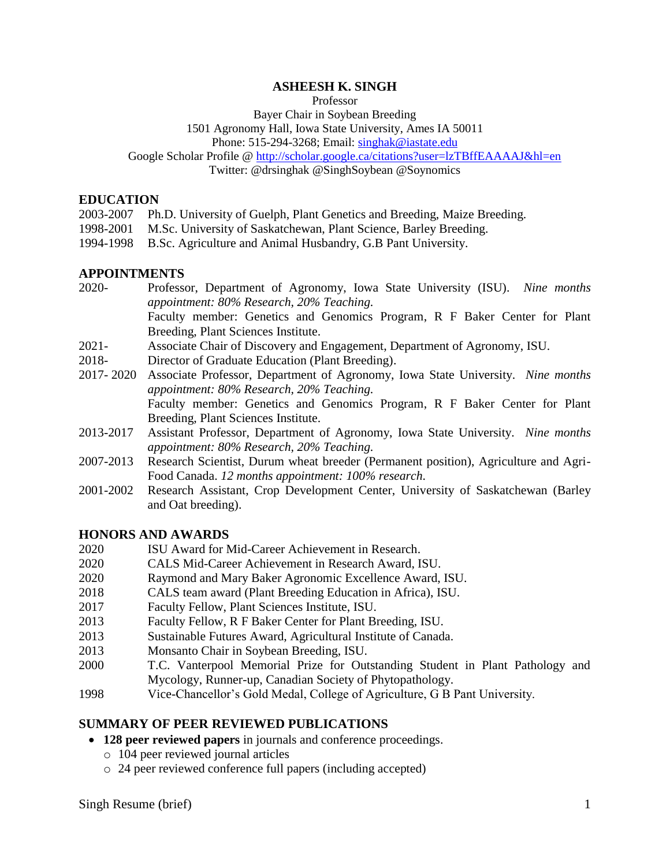#### **ASHEESH K. SINGH**

Professor

Bayer Chair in Soybean Breeding 1501 Agronomy Hall, Iowa State University, Ames IA 50011 Phone: 515-294-3268; Email: [singhak@iastate.edu](mailto:singhak@iastate.edu)

Google Scholar Profile @<http://scholar.google.ca/citations?user=lzTBffEAAAAJ&hl=en>

Twitter: @drsinghak @SinghSoybean @Soynomics

#### **EDUCATION**

- 2003-2007 Ph.D. University of Guelph, Plant Genetics and Breeding, Maize Breeding.
- 1998-2001 M.Sc. University of Saskatchewan, Plant Science, Barley Breeding.
- 1994-1998 B.Sc. Agriculture and Animal Husbandry, G.B Pant University.

## **APPOINTMENTS**

- 2020- Professor, Department of Agronomy, Iowa State University (ISU). *Nine months appointment: 80% Research, 20% Teaching.* Faculty member: Genetics and Genomics Program, R F Baker Center for Plant Breeding, Plant Sciences Institute.
- 2021- Associate Chair of Discovery and Engagement, Department of Agronomy, ISU.
- 2018- Director of Graduate Education (Plant Breeding).
- 2017- 2020 Associate Professor, Department of Agronomy, Iowa State University. *Nine months appointment: 80% Research, 20% Teaching.* Faculty member: Genetics and Genomics Program, R F Baker Center for Plant Breeding, Plant Sciences Institute.
- 2013-2017 Assistant Professor, Department of Agronomy, Iowa State University. *Nine months appointment: 80% Research, 20% Teaching.*
- 2007-2013 Research Scientist, Durum wheat breeder (Permanent position), Agriculture and Agri-Food Canada. *12 months appointment: 100% research.*
- 2001-2002 Research Assistant, Crop Development Center, University of Saskatchewan (Barley and Oat breeding).

## **HONORS AND AWARDS**

- 2020 ISU Award for Mid-Career Achievement in Research.
- 2020 CALS Mid-Career Achievement in Research Award, ISU.
- 2020 Raymond and Mary Baker Agronomic Excellence Award, ISU.
- 2018 CALS team award (Plant Breeding Education in Africa), ISU.
- 2017 Faculty Fellow, Plant Sciences Institute, ISU.
- 2013 Faculty Fellow, R F Baker Center for Plant Breeding, ISU.
- 2013 Sustainable Futures Award, Agricultural Institute of Canada.
- 2013 Monsanto Chair in Soybean Breeding, ISU.
- 2000 T.C. Vanterpool Memorial Prize for Outstanding Student in Plant Pathology and Mycology, Runner-up, Canadian Society of Phytopathology.
- 1998 Vice-Chancellor's Gold Medal, College of Agriculture, G B Pant University.

## **SUMMARY OF PEER REVIEWED PUBLICATIONS**

- **128 peer reviewed papers** in journals and conference proceedings.
	- o 104 peer reviewed journal articles
	- o 24 peer reviewed conference full papers (including accepted)